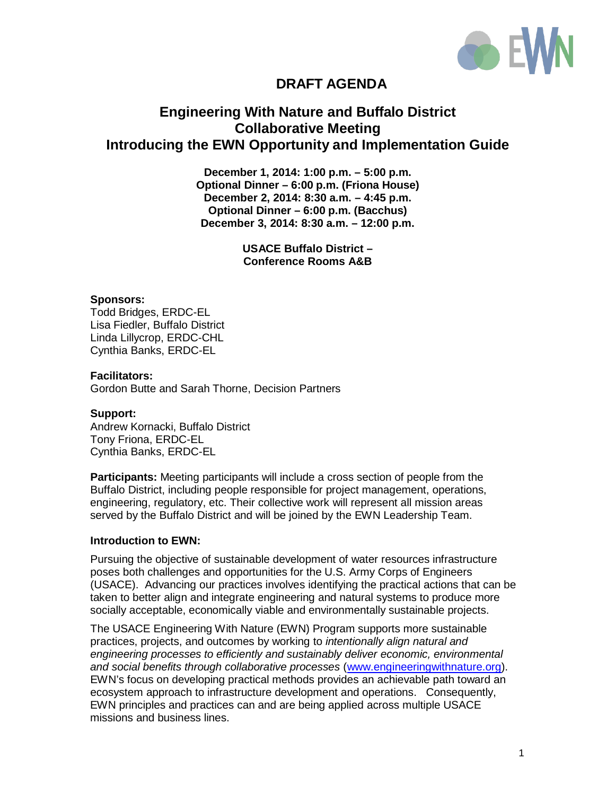

# **DRAFT AGENDA**

## **Engineering With Nature and Buffalo District Collaborative Meeting Introducing the EWN Opportunity and Implementation Guide**

**December 1, 2014: 1:00 p.m. – 5:00 p.m. Optional Dinner – 6:00 p.m. (Friona House) December 2, 2014: 8:30 a.m. – 4:45 p.m. Optional Dinner – 6:00 p.m. (Bacchus) December 3, 2014: 8:30 a.m. – 12:00 p.m.**

> **USACE Buffalo District – Conference Rooms A&B**

#### **Sponsors:**

Todd Bridges, ERDC-EL Lisa Fiedler, Buffalo District Linda Lillycrop, ERDC-CHL Cynthia Banks, ERDC-EL

#### **Facilitators:**

Gordon Butte and Sarah Thorne, Decision Partners

#### **Support:**

Andrew Kornacki, Buffalo District Tony Friona, ERDC-EL Cynthia Banks, ERDC-EL

**Participants:** Meeting participants will include a cross section of people from the Buffalo District, including people responsible for project management, operations, engineering, regulatory, etc. Their collective work will represent all mission areas served by the Buffalo District and will be joined by the EWN Leadership Team.

#### **Introduction to EWN:**

Pursuing the objective of sustainable development of water resources infrastructure poses both challenges and opportunities for the U.S. Army Corps of Engineers (USACE). Advancing our practices involves identifying the practical actions that can be taken to better align and integrate engineering and natural systems to produce more socially acceptable, economically viable and environmentally sustainable projects.

The USACE Engineering With Nature (EWN) Program supports more sustainable practices, projects, and outcomes by working to *intentionally align natural and engineering processes to efficiently and sustainably deliver economic, environmental and social benefits through collaborative processes* [\(www.engineeringwithnature.org\)](http://www.engineeringwithnature.org/). EWN's focus on developing practical methods provides an achievable path toward an ecosystem approach to infrastructure development and operations. Consequently, EWN principles and practices can and are being applied across multiple USACE missions and business lines.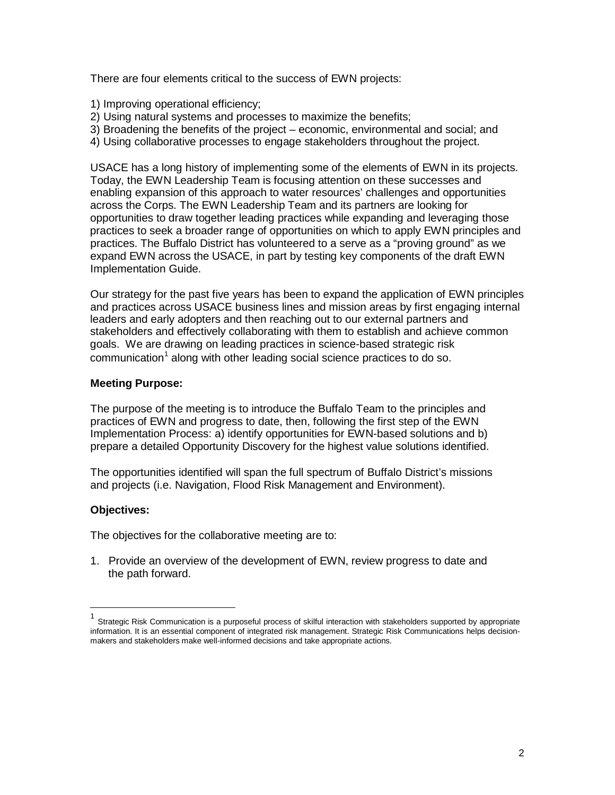There are four elements critical to the success of EWN projects:

- 1) Improving operational efficiency;
- 2) Using natural systems and processes to maximize the benefits;
- 3) Broadening the benefits of the project economic, environmental and social; and
- 4) Using collaborative processes to engage stakeholders throughout the project.

USACE has a long history of implementing some of the elements of EWN in its projects. Today, the EWN Leadership Team is focusing attention on these successes and enabling expansion of this approach to water resources' challenges and opportunities across the Corps. The EWN Leadership Team and its partners are looking for opportunities to draw together leading practices while expanding and leveraging those practices to seek a broader range of opportunities on which to apply EWN principles and practices. The Buffalo District has volunteered to a serve as a "proving ground" as we expand EWN across the USACE, in part by testing key components of the draft EWN Implementation Guide.

Our strategy for the past five years has been to expand the application of EWN principles and practices across USACE business lines and mission areas by first engaging internal leaders and early adopters and then reaching out to our external partners and stakeholders and effectively collaborating with them to establish and achieve common goals. We are drawing on leading practices in science-based strategic risk communication<sup>1</sup> along with other leading social science practices to do so.

## **Meeting Purpose:**

The purpose of the meeting is to introduce the Buffalo Team to the principles and practices of EWN and progress to date, then, following the first step of the EWN Implementation Process: a) identify opportunities for EWN-based solutions and b) prepare a detailed Opportunity Discovery for the highest value solutions identified.

The opportunities identified will span the full spectrum of Buffalo District's missions and projects (i.e. Navigation, Flood Risk Management and Environment).

## **Objectives:**

The objectives for the collaborative meeting are to:

1. Provide an overview of the development of EWN, review progress to date and the path forward.

<sup>1</sup> Strategic Risk Communication is <sup>a</sup> purposeful process of skilful interaction with stakeholders supported by appropriate information. It is an essential component of integrated risk management. Strategic Risk Communications helps decisionmakers and stakeholders make well-informed decisions and take appropriate actions.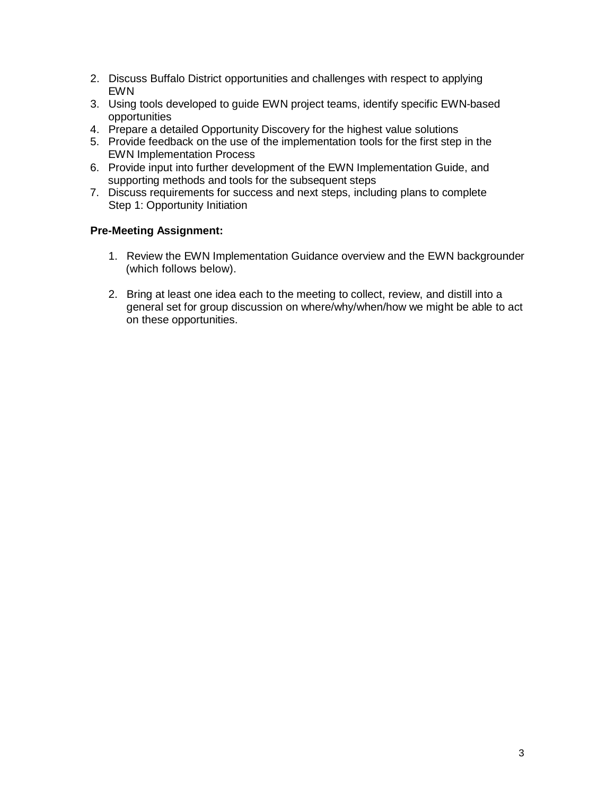- 2. Discuss Buffalo District opportunities and challenges with respect to applying EWN
- 3. Using tools developed to guide EWN project teams, identify specific EWN-based opportunities
- 4. Prepare a detailed Opportunity Discovery for the highest value solutions
- 5. Provide feedback on the use of the implementation tools for the first step in the EWN Implementation Process
- 6. Provide input into further development of the EWN Implementation Guide, and supporting methods and tools for the subsequent steps
- 7. Discuss requirements for success and next steps, including plans to complete Step 1: Opportunity Initiation

## **Pre-Meeting Assignment:**

- 1. Review the EWN Implementation Guidance overview and the EWN backgrounder (which follows below).
- 2. Bring at least one idea each to the meeting to collect, review, and distill into a general set for group discussion on where/why/when/how we might be able to act on these opportunities.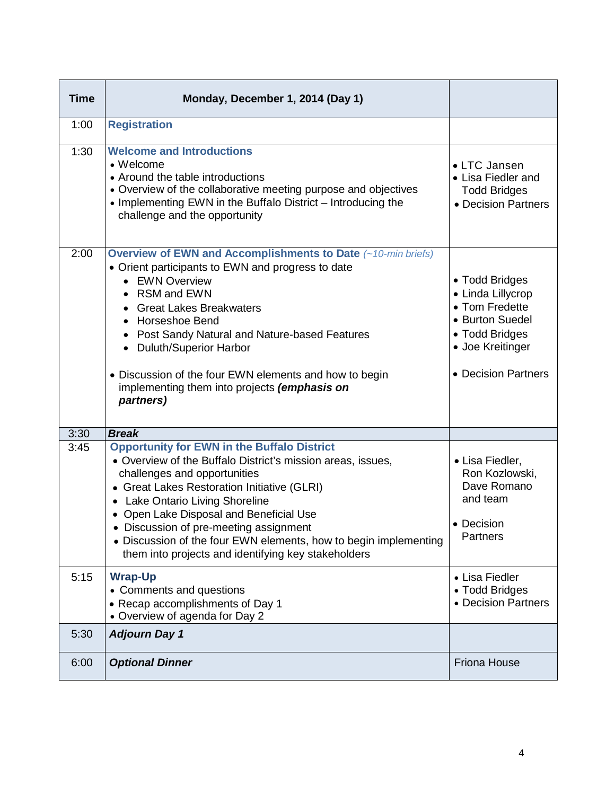| <b>Time</b> | Monday, December 1, 2014 (Day 1)                                                                                                                                                                                                                                                                                                                                                                                                                  |                                                                                                                                       |
|-------------|---------------------------------------------------------------------------------------------------------------------------------------------------------------------------------------------------------------------------------------------------------------------------------------------------------------------------------------------------------------------------------------------------------------------------------------------------|---------------------------------------------------------------------------------------------------------------------------------------|
| 1:00        | <b>Registration</b>                                                                                                                                                                                                                                                                                                                                                                                                                               |                                                                                                                                       |
| 1:30        | <b>Welcome and Introductions</b><br>• Welcome<br>• Around the table introductions<br>• Overview of the collaborative meeting purpose and objectives<br>• Implementing EWN in the Buffalo District - Introducing the<br>challenge and the opportunity                                                                                                                                                                                              | • LTC Jansen<br>• Lisa Fiedler and<br><b>Todd Bridges</b><br>• Decision Partners                                                      |
| 2:00        | <b>Overview of EWN and Accomplishments to Date (~10-min briefs)</b><br>• Orient participants to EWN and progress to date<br>• EWN Overview<br>RSM and EWN<br><b>Great Lakes Breakwaters</b><br><b>Horseshoe Bend</b><br>$\bullet$<br>• Post Sandy Natural and Nature-based Features<br>• Duluth/Superior Harbor<br>• Discussion of the four EWN elements and how to begin<br>implementing them into projects (emphasis on<br>partners)            | • Todd Bridges<br>• Linda Lillycrop<br>• Tom Fredette<br>• Burton Suedel<br>• Todd Bridges<br>• Joe Kreitinger<br>• Decision Partners |
| 3:30        | <b>Break</b>                                                                                                                                                                                                                                                                                                                                                                                                                                      |                                                                                                                                       |
| 3:45        | <b>Opportunity for EWN in the Buffalo District</b><br>• Overview of the Buffalo District's mission areas, issues,<br>challenges and opportunities<br>• Great Lakes Restoration Initiative (GLRI)<br>• Lake Ontario Living Shoreline<br>• Open Lake Disposal and Beneficial Use<br>Discussion of pre-meeting assignment<br>• Discussion of the four EWN elements, how to begin implementing<br>them into projects and identifying key stakeholders | • Lisa Fiedler,<br>Ron Kozlowski,<br>Dave Romano<br>and team<br>• Decision<br>Partners                                                |
| 5:15        | <b>Wrap-Up</b><br>• Comments and questions<br>• Recap accomplishments of Day 1<br>• Overview of agenda for Day 2                                                                                                                                                                                                                                                                                                                                  | • Lisa Fiedler<br>• Todd Bridges<br>• Decision Partners                                                                               |
| 5:30        | <b>Adjourn Day 1</b>                                                                                                                                                                                                                                                                                                                                                                                                                              |                                                                                                                                       |
| 6:00        | <b>Optional Dinner</b>                                                                                                                                                                                                                                                                                                                                                                                                                            | <b>Friona House</b>                                                                                                                   |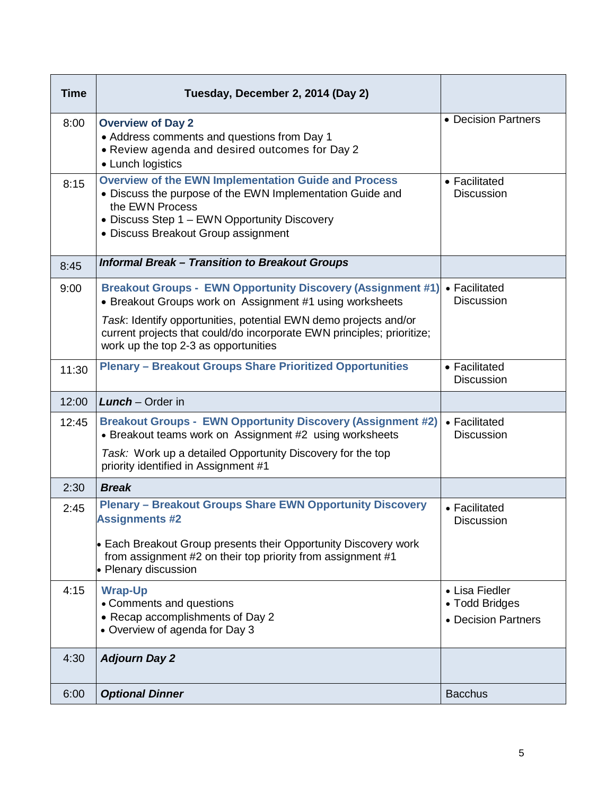| <b>Time</b> | Tuesday, December 2, 2014 (Day 2)                                                                                                                                                                                                  |                                                         |
|-------------|------------------------------------------------------------------------------------------------------------------------------------------------------------------------------------------------------------------------------------|---------------------------------------------------------|
| 8:00        | <b>Overview of Day 2</b><br>• Address comments and questions from Day 1<br>• Review agenda and desired outcomes for Day 2<br>• Lunch logistics                                                                                     | • Decision Partners                                     |
| 8:15        | <b>Overview of the EWN Implementation Guide and Process</b><br>• Discuss the purpose of the EWN Implementation Guide and<br>the EWN Process<br>• Discuss Step 1 - EWN Opportunity Discovery<br>• Discuss Breakout Group assignment | • Facilitated<br><b>Discussion</b>                      |
| 8:45        | <b>Informal Break - Transition to Breakout Groups</b>                                                                                                                                                                              |                                                         |
| 9:00        | <b>Breakout Groups - EWN Opportunity Discovery (Assignment #1)</b><br>• Breakout Groups work on Assignment #1 using worksheets                                                                                                     | • Facilitated<br><b>Discussion</b>                      |
|             | Task: Identify opportunities, potential EWN demo projects and/or<br>current projects that could/do incorporate EWN principles; prioritize;<br>work up the top 2-3 as opportunities                                                 |                                                         |
| 11:30       | <b>Plenary - Breakout Groups Share Prioritized Opportunities</b>                                                                                                                                                                   | • Facilitated<br><b>Discussion</b>                      |
| 12:00       | <b>Lunch</b> $-$ Order in                                                                                                                                                                                                          |                                                         |
|             |                                                                                                                                                                                                                                    |                                                         |
| 12:45       | <b>Breakout Groups - EWN Opportunity Discovery (Assignment #2)</b><br>• Breakout teams work on Assignment #2 using worksheets                                                                                                      | • Facilitated<br><b>Discussion</b>                      |
|             | Task: Work up a detailed Opportunity Discovery for the top<br>priority identified in Assignment #1                                                                                                                                 |                                                         |
| 2:30        | <b>Break</b>                                                                                                                                                                                                                       |                                                         |
| 2:45        | <b>Plenary - Breakout Groups Share EWN Opportunity Discovery</b><br><b>Assignments #2</b>                                                                                                                                          | • Facilitated<br><b>Discussion</b>                      |
|             | • Each Breakout Group presents their Opportunity Discovery work<br>from assignment #2 on their top priority from assignment #1<br>• Plenary discussion                                                                             |                                                         |
| 4:15        | <b>Wrap-Up</b><br>• Comments and questions<br>• Recap accomplishments of Day 2<br>• Overview of agenda for Day 3                                                                                                                   | • Lisa Fiedler<br>• Todd Bridges<br>• Decision Partners |
| 4:30        | <b>Adjourn Day 2</b>                                                                                                                                                                                                               |                                                         |